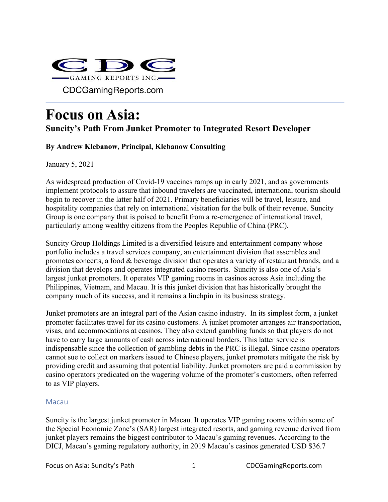

# **Focus on Asia:**

# **Suncity's Path From Junket Promoter to Integrated Resort Developer**

# **By Andrew Klebanow, Principal, Klebanow Consulting**

January 5, 2021

As widespread production of Covid-19 vaccines ramps up in early 2021, and as governments implement protocols to assure that inbound travelers are vaccinated, international tourism should begin to recover in the latter half of 2021. Primary beneficiaries will be travel, leisure, and hospitality companies that rely on international visitation for the bulk of their revenue. Suncity Group is one company that is poised to benefit from a re-emergence of international travel, particularly among wealthy citizens from the Peoples Republic of China (PRC).

Suncity Group Holdings Limited is a diversified leisure and entertainment company whose portfolio includes a travel services company, an entertainment division that assembles and promotes concerts, a food & beverage division that operates a variety of restaurant brands, and a division that develops and operates integrated casino resorts. Suncity is also one of Asia's largest junket promoters. It operates VIP gaming rooms in casinos across Asia including the Philippines, Vietnam, and Macau. It is this junket division that has historically brought the company much of its success, and it remains a linchpin in its business strategy.

Junket promoters are an integral part of the Asian casino industry. In its simplest form, a junket promoter facilitates travel for its casino customers. A junket promoter arranges air transportation, visas, and accommodations at casinos. They also extend gambling funds so that players do not have to carry large amounts of cash across international borders. This latter service is indispensable since the collection of gambling debts in the PRC is illegal. Since casino operators cannot sue to collect on markers issued to Chinese players, junket promoters mitigate the risk by providing credit and assuming that potential liability. Junket promoters are paid a commission by casino operators predicated on the wagering volume of the promoter's customers, often referred to as VIP players.

# Macau

Suncity is the largest junket promoter in Macau. It operates VIP gaming rooms within some of the Special Economic Zone's (SAR) largest integrated resorts, and gaming revenue derived from junket players remains the biggest contributor to Macau's gaming revenues. According to the DICJ, Macau's gaming regulatory authority, in 2019 Macau's casinos generated USD \$36.7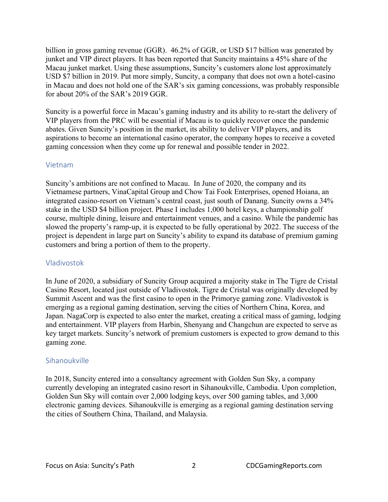billion in gross gaming revenue (GGR). 46.2% of GGR, or USD \$17 billion was generated by junket and VIP direct players. It has been reported that Suncity maintains a 45% share of the Macau junket market. Using these assumptions, Suncity's customers alone lost approximately USD \$7 billion in 2019. Put more simply, Suncity, a company that does not own a hotel-casino in Macau and does not hold one of the SAR's six gaming concessions, was probably responsible for about 20% of the SAR's 2019 GGR.

Suncity is a powerful force in Macau's gaming industry and its ability to re-start the delivery of VIP players from the PRC will be essential if Macau is to quickly recover once the pandemic abates. Given Suncity's position in the market, its ability to deliver VIP players, and its aspirations to become an international casino operator, the company hopes to receive a coveted gaming concession when they come up for renewal and possible tender in 2022.

#### Vietnam

Suncity's ambitions are not confined to Macau. In June of 2020, the company and its Vietnamese partners, VinaCapital Group and Chow Tai Fook Enterprises, opened Hoiana, an integrated casino-resort on Vietnam's central coast, just south of Danang. Suncity owns a 34% stake in the USD \$4 billion project. Phase I includes 1,000 hotel keys, a championship golf course, multiple dining, leisure and entertainment venues, and a casino. While the pandemic has slowed the property's ramp-up, it is expected to be fully operational by 2022. The success of the project is dependent in large part on Suncity's ability to expand its database of premium gaming customers and bring a portion of them to the property.

# Vladivostok

In June of 2020, a subsidiary of Suncity Group acquired a majority stake in The Tigre de Cristal Casino Resort, located just outside of Vladivostok. Tigre de Cristal was originally developed by Summit Ascent and was the first casino to open in the Primorye gaming zone. Vladivostok is emerging as a regional gaming destination, serving the cities of Northern China, Korea, and Japan. NagaCorp is expected to also enter the market, creating a critical mass of gaming, lodging and entertainment. VIP players from Harbin, Shenyang and Changchun are expected to serve as key target markets. Suncity's network of premium customers is expected to grow demand to this gaming zone.

# Sihanoukville

In 2018, Suncity entered into a consultancy agreement with Golden Sun Sky, a company currently developing an integrated casino resort in Sihanoukville, Cambodia. Upon completion, Golden Sun Sky will contain over 2,000 lodging keys, over 500 gaming tables, and 3,000 electronic gaming devices. Sihanoukville is emerging as a regional gaming destination serving the cities of Southern China, Thailand, and Malaysia.